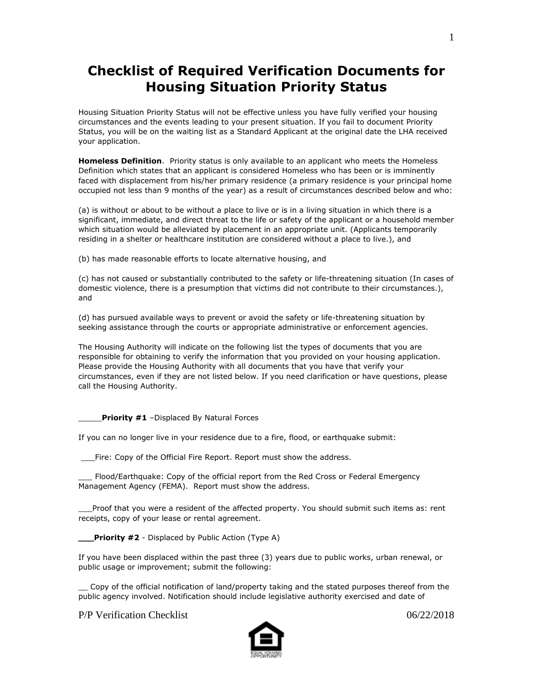## **Checklist of Required Verification Documents for Housing Situation Priority Status**

Housing Situation Priority Status will not be effective unless you have fully verified your housing circumstances and the events leading to your present situation. If you fail to document Priority Status, you will be on the waiting list as a Standard Applicant at the original date the LHA received your application.

**Homeless Definition**. Priority status is only available to an applicant who meets the Homeless Definition which states that an applicant is considered Homeless who has been or is imminently faced with displacement from his/her primary residence (a primary residence is your principal home occupied not less than 9 months of the year) as a result of circumstances described below and who:

(a) is without or about to be without a place to live or is in a living situation in which there is a significant, immediate, and direct threat to the life or safety of the applicant or a household member which situation would be alleviated by placement in an appropriate unit. (Applicants temporarily residing in a shelter or healthcare institution are considered without a place to live.), and

(b) has made reasonable efforts to locate alternative housing, and

(c) has not caused or substantially contributed to the safety or life-threatening situation (In cases of domestic violence, there is a presumption that victims did not contribute to their circumstances.), and

(d) has pursued available ways to prevent or avoid the safety or life-threatening situation by seeking assistance through the courts or appropriate administrative or enforcement agencies.

The Housing Authority will indicate on the following list the types of documents that you are responsible for obtaining to verify the information that you provided on your housing application. Please provide the Housing Authority with all documents that you have that verify your circumstances, even if they are not listed below. If you need clarification or have questions, please call the Housing Authority.

Priority #1 -Displaced By Natural Forces

If you can no longer live in your residence due to a fire, flood, or earthquake submit:

\_\_\_Fire: Copy of the Official Fire Report. Report must show the address.

\_\_\_ Flood/Earthquake: Copy of the official report from the Red Cross or Federal Emergency Management Agency (FEMA). Report must show the address.

Proof that you were a resident of the affected property. You should submit such items as: rent receipts, copy of your lease or rental agreement.

**Priority #2** - Displaced by Public Action (Type A)

If you have been displaced within the past three (3) years due to public works, urban renewal, or public usage or improvement; submit the following:

Copy of the official notification of land/property taking and the stated purposes thereof from the public agency involved. Notification should include legislative authority exercised and date of

P/P Verification Checklist 06/22/2018

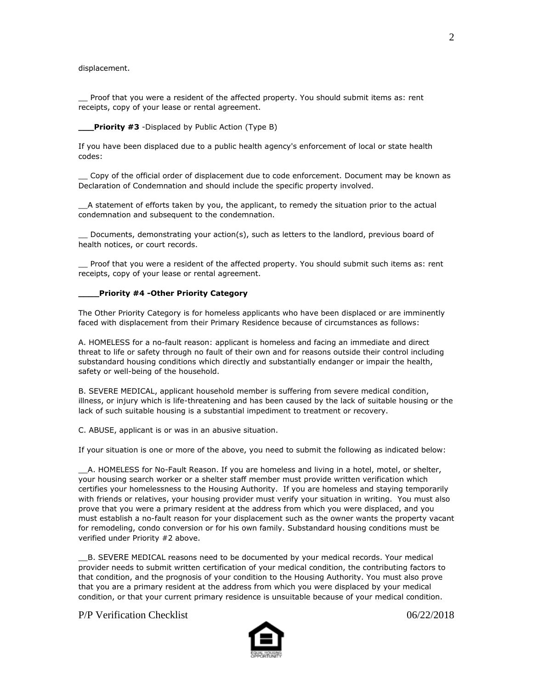displacement.

\_\_ Proof that you were a resident of the affected property. You should submit items as: rent receipts, copy of your lease or rental agreement.

## **\_\_\_Priority #3** -Displaced by Public Action (Type B)

If you have been displaced due to a public health agency's enforcement of local or state health codes:

\_\_ Copy of the official order of displacement due to code enforcement. Document may be known as Declaration of Condemnation and should include the specific property involved.

\_\_A statement of efforts taken by you, the applicant, to remedy the situation prior to the actual condemnation and subsequent to the condemnation.

Documents, demonstrating your action(s), such as letters to the landlord, previous board of health notices, or court records.

Proof that you were a resident of the affected property. You should submit such items as: rent receipts, copy of your lease or rental agreement.

## **\_\_\_\_Priority #4 -Other Priority Category**

The Other Priority Category is for homeless applicants who have been displaced or are imminently faced with displacement from their Primary Residence because of circumstances as follows:

A. HOMELESS for a no-fault reason: applicant is homeless and facing an immediate and direct threat to life or safety through no fault of their own and for reasons outside their control including substandard housing conditions which directly and substantially endanger or impair the health, safety or well-being of the household.

B. SEVERE MEDICAL, applicant household member is suffering from severe medical condition, illness, or injury which is life-threatening and has been caused by the lack of suitable housing or the lack of such suitable housing is a substantial impediment to treatment or recovery.

C. ABUSE, applicant is or was in an abusive situation.

If your situation is one or more of the above, you need to submit the following as indicated below:

\_\_A. HOMELESS for No-Fault Reason. If you are homeless and living in a hotel, motel, or shelter, your housing search worker or a shelter staff member must provide written verification which certifies your homelessness to the Housing Authority. If you are homeless and staying temporarily with friends or relatives, your housing provider must verify your situation in writing. You must also prove that you were a primary resident at the address from which you were displaced, and you must establish a no-fault reason for your displacement such as the owner wants the property vacant for remodeling, condo conversion or for his own family. Substandard housing conditions must be verified under Priority #2 above.

\_\_B. SEVERE MEDICAL reasons need to be documented by your medical records. Your medical provider needs to submit written certification of your medical condition, the contributing factors to that condition, and the prognosis of your condition to the Housing Authority. You must also prove that you are a primary resident at the address from which you were displaced by your medical condition, or that your current primary residence is unsuitable because of your medical condition.

P/P Verification Checklist 06/22/2018